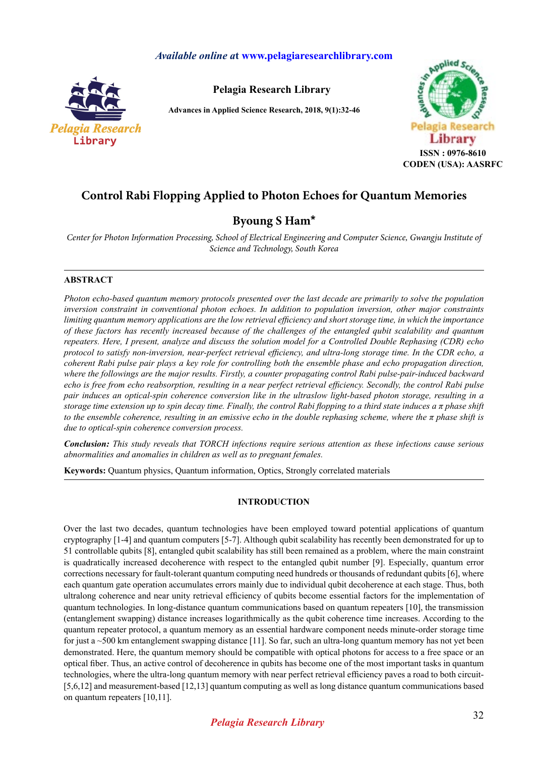## *Available online a***t www.pelagiaresearchlibrary.com**



**Pelagia Research Library**

**Advances in Applied Science Research, 2018, 9(1):32-46**



# **Control Rabi Flopping Applied to Photon Echoes for Quantum Memories**

## **Byoung S Ham\***

*Center for Photon Information Processing, School of Electrical Engineering and Computer Science, Gwangju Institute of Science and Technology, South Korea*

### **ABSTRACT**

*Photon echo-based quantum memory protocols presented over the last decade are primarily to solve the population inversion constraint in conventional photon echoes. In addition to population inversion, other major constraints limiting quantum memory applications are the low retrieval efficiency and short storage time, in which the importance of these factors has recently increased because of the challenges of the entangled qubit scalability and quantum repeaters. Here, I present, analyze and discuss the solution model for a Controlled Double Rephasing (CDR) echo protocol to satisfy non-inversion, near-perfect retrieval efficiency, and ultra-long storage time. In the CDR echo, a coherent Rabi pulse pair plays a key role for controlling both the ensemble phase and echo propagation direction, where the followings are the major results. Firstly, a counter propagating control Rabi pulse-pair-induced backward echo is free from echo reabsorption, resulting in a near perfect retrieval efficiency. Secondly, the control Rabi pulse pair induces an optical-spin coherence conversion like in the ultraslow light-based photon storage, resulting in a storage time extension up to spin decay time. Finally, the control Rabi flopping to a third state induces a π phase shift to the ensemble coherence, resulting in an emissive echo in the double rephasing scheme, where the π phase shift is due to optical-spin coherence conversion process.* 

*Conclusion: This study reveals that TORCH infections require serious attention as these infections cause serious abnormalities and anomalies in children as well as to pregnant females.*

**Keywords:** Quantum physics, Quantum information, Optics, Strongly correlated materials

### **INTRODUCTION**

Over the last two decades, quantum technologies have been employed toward potential applications of quantum cryptography [1-4] and quantum computers [5-7]. Although qubit scalability has recently been demonstrated for up to 51 controllable qubits [8], entangled qubit scalability has still been remained as a problem, where the main constraint is quadratically increased decoherence with respect to the entangled qubit number [9]. Especially, quantum error corrections necessary for fault-tolerant quantum computing need hundreds or thousands of redundant qubits [6], where each quantum gate operation accumulates errors mainly due to individual qubit decoherence at each stage. Thus, both ultralong coherence and near unity retrieval efficiency of qubits become essential factors for the implementation of quantum technologies. In long-distance quantum communications based on quantum repeaters [10], the transmission (entanglement swapping) distance increases logarithmically as the qubit coherence time increases. According to the quantum repeater protocol, a quantum memory as an essential hardware component needs minute-order storage time for just a ~500 km entanglement swapping distance [11]. So far, such an ultra-long quantum memory has not yet been demonstrated. Here, the quantum memory should be compatible with optical photons for access to a free space or an optical fiber. Thus, an active control of decoherence in qubits has become one of the most important tasks in quantum technologies, where the ultra-long quantum memory with near perfect retrieval efficiency paves a road to both circuit- [5,6,12] and measurement-based [12,13] quantum computing as well as long distance quantum communications based on quantum repeaters [10,11].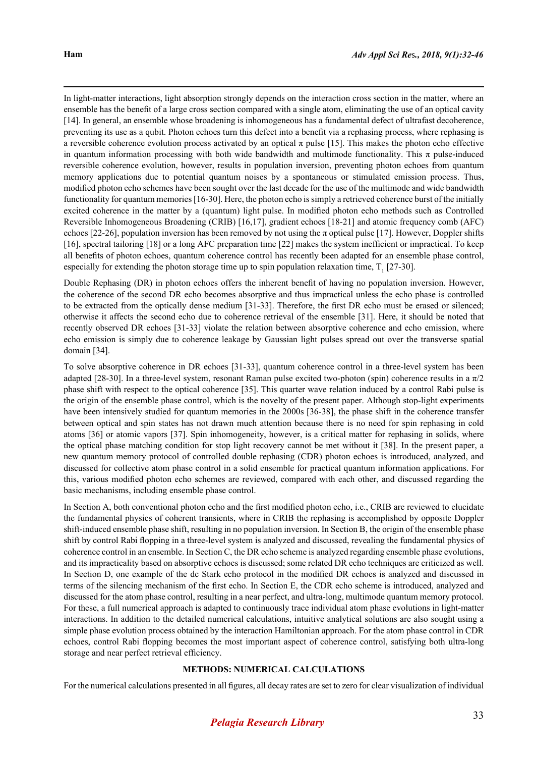In light-matter interactions, light absorption strongly depends on the interaction cross section in the matter, where an ensemble has the benefit of a large cross section compared with a single atom, eliminating the use of an optical cavity [14]. In general, an ensemble whose broadening is inhomogeneous has a fundamental defect of ultrafast decoherence, preventing its use as a qubit. Photon echoes turn this defect into a benefit via a rephasing process, where rephasing is a reversible coherence evolution process activated by an optical  $\pi$  pulse [15]. This makes the photon echo effective in quantum information processing with both wide bandwidth and multimode functionality. This π pulse-induced reversible coherence evolution, however, results in population inversion, preventing photon echoes from quantum memory applications due to potential quantum noises by a spontaneous or stimulated emission process. Thus, modified photon echo schemes have been sought over the last decade for the use of the multimode and wide bandwidth functionality for quantum memories [16-30]. Here, the photon echo is simply a retrieved coherence burst of the initially excited coherence in the matter by a (quantum) light pulse. In modified photon echo methods such as Controlled Reversible Inhomogeneous Broadening (CRIB) [16,17], gradient echoes [18-21] and atomic frequency comb (AFC) echoes [22-26], population inversion has been removed by not using the  $\pi$  optical pulse [17]. However, Doppler shifts [16], spectral tailoring [18] or a long AFC preparation time [22] makes the system inefficient or impractical. To keep all benefits of photon echoes, quantum coherence control has recently been adapted for an ensemble phase control, especially for extending the photon storage time up to spin population relaxation time,  $T_1$  [27-30].

Double Rephasing (DR) in photon echoes offers the inherent benefit of having no population inversion. However, the coherence of the second DR echo becomes absorptive and thus impractical unless the echo phase is controlled to be extracted from the optically dense medium [31-33]. Therefore, the first DR echo must be erased or silenced; otherwise it affects the second echo due to coherence retrieval of the ensemble [31]. Here, it should be noted that recently observed DR echoes [31-33] violate the relation between absorptive coherence and echo emission, where echo emission is simply due to coherence leakage by Gaussian light pulses spread out over the transverse spatial domain [34].

To solve absorptive coherence in DR echoes [31-33], quantum coherence control in a three-level system has been adapted [28-30]. In a three-level system, resonant Raman pulse excited two-photon (spin) coherence results in a π/2 phase shift with respect to the optical coherence [35]. This quarter wave relation induced by a control Rabi pulse is the origin of the ensemble phase control, which is the novelty of the present paper. Although stop-light experiments have been intensively studied for quantum memories in the 2000s [36-38], the phase shift in the coherence transfer between optical and spin states has not drawn much attention because there is no need for spin rephasing in cold atoms [36] or atomic vapors [37]. Spin inhomogeneity, however, is a critical matter for rephasing in solids, where the optical phase matching condition for stop light recovery cannot be met without it [38]. In the present paper, a new quantum memory protocol of controlled double rephasing (CDR) photon echoes is introduced, analyzed, and discussed for collective atom phase control in a solid ensemble for practical quantum information applications. For this, various modified photon echo schemes are reviewed, compared with each other, and discussed regarding the basic mechanisms, including ensemble phase control.

In Section A, both conventional photon echo and the first modified photon echo, i.e., CRIB are reviewed to elucidate the fundamental physics of coherent transients, where in CRIB the rephasing is accomplished by opposite Doppler shift-induced ensemble phase shift, resulting in no population inversion. In Section B, the origin of the ensemble phase shift by control Rabi flopping in a three-level system is analyzed and discussed, revealing the fundamental physics of coherence control in an ensemble. In Section C, the DR echo scheme is analyzed regarding ensemble phase evolutions, and its impracticality based on absorptive echoes is discussed; some related DR echo techniques are criticized as well. In Section D, one example of the dc Stark echo protocol in the modified DR echoes is analyzed and discussed in terms of the silencing mechanism of the first echo. In Section E, the CDR echo scheme is introduced, analyzed and discussed for the atom phase control, resulting in a near perfect, and ultra-long, multimode quantum memory protocol. For these, a full numerical approach is adapted to continuously trace individual atom phase evolutions in light-matter interactions. In addition to the detailed numerical calculations, intuitive analytical solutions are also sought using a simple phase evolution process obtained by the interaction Hamiltonian approach. For the atom phase control in CDR echoes, control Rabi flopping becomes the most important aspect of coherence control, satisfying both ultra-long storage and near perfect retrieval efficiency.

### **METHODS: NUMERICAL CALCULATIONS**

For the numerical calculations presented in all figures, all decay rates are set to zero for clear visualization of individual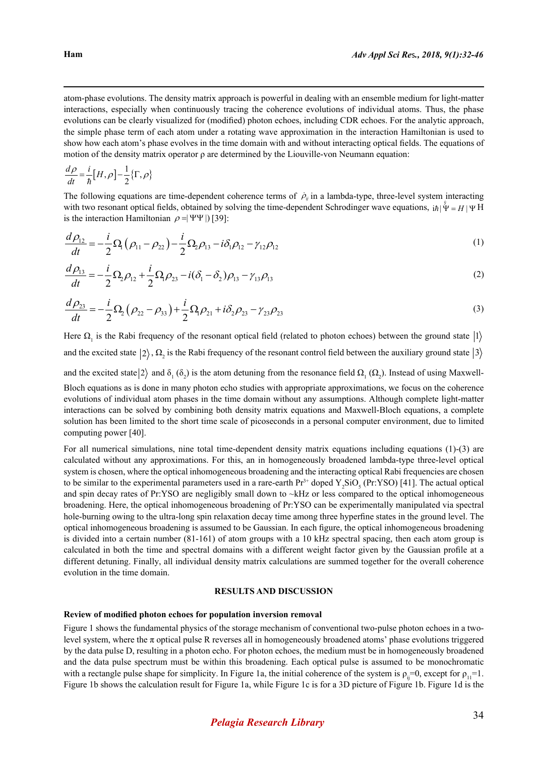atom-phase evolutions. The density matrix approach is powerful in dealing with an ensemble medium for light-matter interactions, especially when continuously tracing the coherence evolutions of individual atoms. Thus, the phase evolutions can be clearly visualized for (modified) photon echoes, including CDR echoes. For the analytic approach, the simple phase term of each atom under a rotating wave approximation in the interaction Hamiltonian is used to show how each atom's phase evolves in the time domain with and without interacting optical fields. The equations of motion of the density matrix operator  $\rho$  are determined by the Liouville-von Neumann equation:

$$
\frac{d\rho}{dt} = \frac{i}{\hbar} [H, \rho] - \frac{1}{2} \{ \Gamma, \rho \}
$$

The following equations are time-dependent coherence terms of  $\dot{p}_{ij}$  in a lambda-type, three-level system interacting with two resonant optical fields, obtained by solving the time-dependent Schrodinger wave equations,  $i\hbar |\Psi| = H |\Psi|$ is the interaction Hamiltonian  $\rho = |\Psi\Psi|$  [39]:

$$
\frac{d\rho_{12}}{dt} = -\frac{i}{2}\Omega_1(\rho_{11} - \rho_{22}) - \frac{i}{2}\Omega_2\rho_{13} - i\delta_1\rho_{12} - \gamma_{12}\rho_{12}
$$
\n(1)

$$
\frac{d\rho_{13}}{dt} = -\frac{i}{2}\Omega_2\rho_{12} + \frac{i}{2}\Omega_1\rho_{23} - i(\delta_1 - \delta_2)\rho_{13} - \gamma_{13}\rho_{13}
$$
\n(2)

$$
\frac{d\rho_{23}}{dt} = -\frac{i}{2}\Omega_2(\rho_{22} - \rho_{33}) + \frac{i}{2}\Omega_1\rho_{21} + i\delta_2\rho_{23} - \gamma_{23}\rho_{23}
$$
\n(3)

Here  $\Omega_1$  is the Rabi frequency of the resonant optical field (related to photon echoes) between the ground state |1 and the excited state  $|2\rangle$ ,  $\Omega_2$  is the Rabi frequency of the resonant control field between the auxiliary ground state  $|3\rangle$ 

and the excited state  $|2\rangle$  and  $\delta_1(\delta_2)$  is the atom detuning from the resonance field  $\Omega_1(\Omega_2)$ . Instead of using Maxwell-Bloch equations as is done in many photon echo studies with appropriate approximations, we focus on the coherence evolutions of individual atom phases in the time domain without any assumptions. Although complete light-matter interactions can be solved by combining both density matrix equations and Maxwell-Bloch equations, a complete solution has been limited to the short time scale of picoseconds in a personal computer environment, due to limited computing power [40].

For all numerical simulations, nine total time-dependent density matrix equations including equations (1)-(3) are calculated without any approximations. For this, an in homogeneously broadened lambda-type three-level optical system is chosen, where the optical inhomogeneous broadening and the interacting optical Rabi frequencies are chosen to be similar to the experimental parameters used in a rare-earth  $Pr^{3+}$  doped  $Y_2SiO_5$  (Pr:YSO) [41]. The actual optical and spin decay rates of Pr:YSO are negligibly small down to ~kHz or less compared to the optical inhomogeneous broadening. Here, the optical inhomogeneous broadening of Pr:YSO can be experimentally manipulated via spectral hole-burning owing to the ultra-long spin relaxation decay time among three hyperfine states in the ground level. The optical inhomogeneous broadening is assumed to be Gaussian. In each figure, the optical inhomogeneous broadening is divided into a certain number (81-161) of atom groups with a 10 kHz spectral spacing, then each atom group is calculated in both the time and spectral domains with a different weight factor given by the Gaussian profile at a different detuning. Finally, all individual density matrix calculations are summed together for the overall coherence evolution in the time domain.

### **RESULTS AND DISCUSSION**

### **Review of modified photon echoes for population inversion removal**

Figure 1 shows the fundamental physics of the storage mechanism of conventional two-pulse photon echoes in a twolevel system, where the  $\pi$  optical pulse R reverses all in homogeneously broadened atoms' phase evolutions triggered by the data pulse D, resulting in a photon echo. For photon echoes, the medium must be in homogeneously broadened and the data pulse spectrum must be within this broadening. Each optical pulse is assumed to be monochromatic with a rectangle pulse shape for simplicity. In Figure 1a, the initial coherence of the system is  $\rho_{ii}=0$ , except for  $\rho_{11}=1$ . Figure 1b shows the calculation result for Figure 1a, while Figure 1c is for a 3D picture of Figure 1b. Figure 1d is the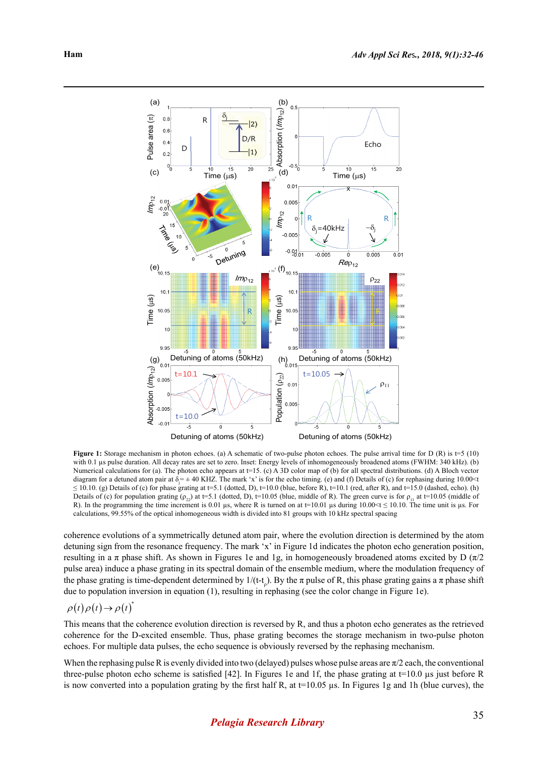

**Figure 1:** Storage mechanism in photon echoes. (a) A schematic of two-pulse photon echoes. The pulse arrival time for D (R) is  $t=5$  (10) with 0.1 us pulse duration. All decay rates are set to zero. Inset: Energy levels of inhomogeneously broadened atoms (FWHM: 340 kHz). (b) Numerical calculations for (a). The photon echo appears at t=15. (c) A 3D color map of (b) for all spectral distributions. (d) A Bloch vector diagram for a detuned atom pair at  $\delta$ <sub>j</sub> =  $\pm$  40 KHZ. The mark 'x' is for the echo timing. (e) and (f) Details of (c) for rephasing during 10.00<t  $\leq$  10.10. (g) Details of (c) for phase grating at t=5.1 (dotted, D), t=10.0 (blue, before R), t=10.1 (red, after R), and t=15.0 (dashed, echo). (h) Details of (c) for population grating  $(\rho_{22})$  at t=5.1 (dotted, D), t=10.05 (blue, middle of R). The green curve is for  $\rho_{11}$  at t=10.05 (middle of R). In the programming the time increment is 0.01 µs, where R is turned on at t=10.01 µs during 10.00  $\leq$  10.10. The time unit is µs. For calculations, 99.55% of the optical inhomogeneous width is divided into 81 groups with 10 kHz spectral spacing

coherence evolutions of a symmetrically detuned atom pair, where the evolution direction is determined by the atom detuning sign from the resonance frequency. The mark 'x' in Figure 1d indicates the photon echo generation position, resulting in a π phase shift. As shown in Figures 1e and 1g, in homogeneously broadened atoms excited by D  $(\pi/2)$ pulse area) induce a phase grating in its spectral domain of the ensemble medium, where the modulation frequency of the phase grating is time-dependent determined by  $1/(t-t_0)$ . By the  $\pi$  pulse of R, this phase grating gains a  $\pi$  phase shift due to population inversion in equation (1), resulting in rephasing (see the color change in Figure 1e).

## $\rho(t)\rho(t)\rightarrow\rho(t)^{*}$

This means that the coherence evolution direction is reversed by R, and thus a photon echo generates as the retrieved coherence for the D-excited ensemble. Thus, phase grating becomes the storage mechanism in two-pulse photon echoes. For multiple data pulses, the echo sequence is obviously reversed by the rephasing mechanism.

When the rephasing pulse R is evenly divided into two (delayed) pulses whose pulse areas are  $\pi/2$  each, the conventional three-pulse photon echo scheme is satisfied [42]. In Figures 1e and 1f, the phase grating at  $t=10.0 \mu s$  just before R is now converted into a population grating by the first half R, at  $t=10.05$  µs. In Figures 1g and 1h (blue curves), the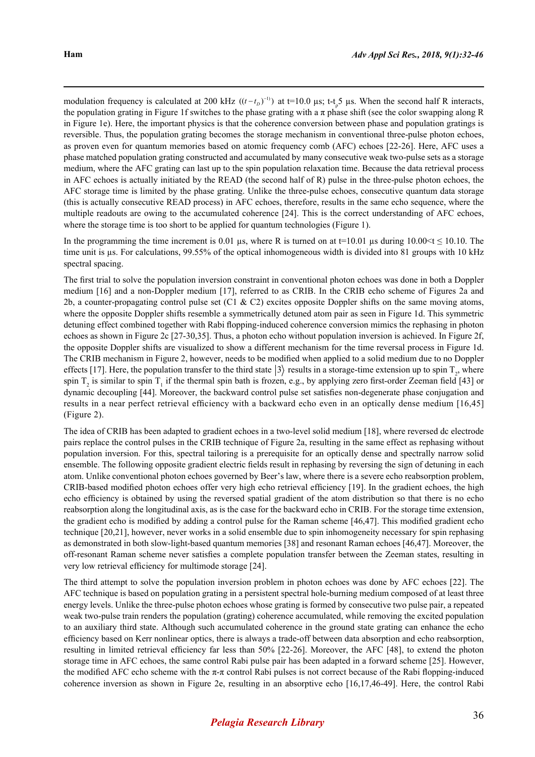modulation frequency is calculated at 200 kHz  $((t-t<sub>D</sub>)<sup>-1</sup>)$  at t=10.0 µs; t-t<sub>p</sub><sup>5</sup> µs. When the second half R interacts, the population grating in Figure 1f switches to the phase grating with a  $\pi$  phase shift (see the color swapping along R in Figure 1e). Here, the important physics is that the coherence conversion between phase and population gratings is reversible. Thus, the population grating becomes the storage mechanism in conventional three-pulse photon echoes, as proven even for quantum memories based on atomic frequency comb (AFC) echoes [22-26]. Here, AFC uses a phase matched population grating constructed and accumulated by many consecutive weak two-pulse sets as a storage medium, where the AFC grating can last up to the spin population relaxation time. Because the data retrieval process in AFC echoes is actually initiated by the READ (the second half of R) pulse in the three-pulse photon echoes, the AFC storage time is limited by the phase grating. Unlike the three-pulse echoes, consecutive quantum data storage (this is actually consecutive READ process) in AFC echoes, therefore, results in the same echo sequence, where the multiple readouts are owing to the accumulated coherence [24]. This is the correct understanding of AFC echoes, where the storage time is too short to be applied for quantum technologies (Figure 1).

In the programming the time increment is 0.01 µs, where R is turned on at  $t=10.01$  µs during 10.00 ≤t ≤ 10.10. The time unit is us. For calculations, 99.55% of the optical inhomogeneous width is divided into 81 groups with 10 kHz spectral spacing.

The first trial to solve the population inversion constraint in conventional photon echoes was done in both a Doppler medium [16] and a non-Doppler medium [17], referred to as CRIB. In the CRIB echo scheme of Figures 2a and 2b, a counter-propagating control pulse set (C1 & C2) excites opposite Doppler shifts on the same moving atoms, where the opposite Doppler shifts resemble a symmetrically detuned atom pair as seen in Figure 1d. This symmetric detuning effect combined together with Rabi flopping-induced coherence conversion mimics the rephasing in photon echoes as shown in Figure 2c [27-30,35]. Thus, a photon echo without population inversion is achieved. In Figure 2f, the opposite Doppler shifts are visualized to show a different mechanism for the time reversal process in Figure 1d. The CRIB mechanism in Figure 2, however, needs to be modified when applied to a solid medium due to no Doppler effects [17]. Here, the population transfer to the third state  $|3\rangle$  results in a storage-time extension up to spin  $T_2$ , where spin  $T_2$  is similar to spin  $T_1$  if the thermal spin bath is frozen, e.g., by applying zero first-order Zeeman field [43] or dynamic decoupling [44]. Moreover, the backward control pulse set satisfies non-degenerate phase conjugation and results in a near perfect retrieval efficiency with a backward echo even in an optically dense medium [16,45] (Figure 2).

The idea of CRIB has been adapted to gradient echoes in a two-level solid medium [18], where reversed dc electrode pairs replace the control pulses in the CRIB technique of Figure 2a, resulting in the same effect as rephasing without population inversion. For this, spectral tailoring is a prerequisite for an optically dense and spectrally narrow solid ensemble. The following opposite gradient electric fields result in rephasing by reversing the sign of detuning in each atom. Unlike conventional photon echoes governed by Beer's law, where there is a severe echo reabsorption problem, CRIB-based modified photon echoes offer very high echo retrieval efficiency [19]. In the gradient echoes, the high echo efficiency is obtained by using the reversed spatial gradient of the atom distribution so that there is no echo reabsorption along the longitudinal axis, as is the case for the backward echo in CRIB. For the storage time extension, the gradient echo is modified by adding a control pulse for the Raman scheme [46,47]. This modified gradient echo technique [20,21], however, never works in a solid ensemble due to spin inhomogeneity necessary for spin rephasing as demonstrated in both slow-light-based quantum memories [38] and resonant Raman echoes [46,47]. Moreover, the off-resonant Raman scheme never satisfies a complete population transfer between the Zeeman states, resulting in very low retrieval efficiency for multimode storage [24].

The third attempt to solve the population inversion problem in photon echoes was done by AFC echoes [22]. The AFC technique is based on population grating in a persistent spectral hole-burning medium composed of at least three energy levels. Unlike the three-pulse photon echoes whose grating is formed by consecutive two pulse pair, a repeated weak two-pulse train renders the population (grating) coherence accumulated, while removing the excited population to an auxiliary third state. Although such accumulated coherence in the ground state grating can enhance the echo efficiency based on Kerr nonlinear optics, there is always a trade-off between data absorption and echo reabsorption, resulting in limited retrieval efficiency far less than 50% [22-26]. Moreover, the AFC [48], to extend the photon storage time in AFC echoes, the same control Rabi pulse pair has been adapted in a forward scheme [25]. However, the modified AFC echo scheme with the  $\pi$ - $\pi$  control Rabi pulses is not correct because of the Rabi flopping-induced coherence inversion as shown in Figure 2e, resulting in an absorptive echo [16,17,46-49]. Here, the control Rabi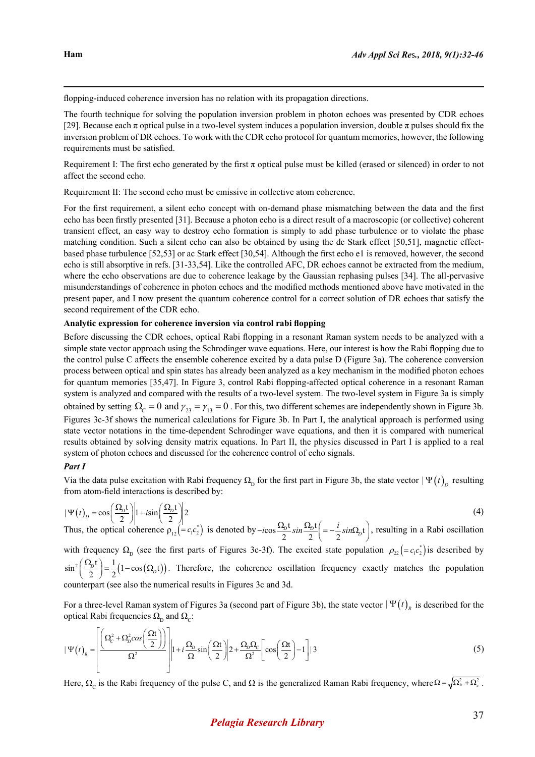flopping-induced coherence inversion has no relation with its propagation directions.

The fourth technique for solving the population inversion problem in photon echoes was presented by CDR echoes [29]. Because each  $\pi$  optical pulse in a two-level system induces a population inversion, double  $\pi$  pulses should fix the inversion problem of DR echoes. To work with the CDR echo protocol for quantum memories, however, the following requirements must be satisfied.

Requirement I: The first echo generated by the first  $\pi$  optical pulse must be killed (erased or silenced) in order to not affect the second echo.

Requirement II: The second echo must be emissive in collective atom coherence.

For the first requirement, a silent echo concept with on-demand phase mismatching between the data and the first echo has been firstly presented [31]. Because a photon echo is a direct result of a macroscopic (or collective) coherent transient effect, an easy way to destroy echo formation is simply to add phase turbulence or to violate the phase matching condition. Such a silent echo can also be obtained by using the dc Stark effect [50,51], magnetic effectbased phase turbulence [52,53] or ac Stark effect [30,54]. Although the first echo e1 is removed, however, the second echo is still absorptive in refs. [31-33,54]. Like the controlled AFC, DR echoes cannot be extracted from the medium, where the echo observations are due to coherence leakage by the Gaussian rephasing pulses [34]. The all-pervasive misunderstandings of coherence in photon echoes and the modified methods mentioned above have motivated in the present paper, and I now present the quantum coherence control for a correct solution of DR echoes that satisfy the second requirement of the CDR echo.

#### **Analytic expression for coherence inversion via control rabi flopping**

Before discussing the CDR echoes, optical Rabi flopping in a resonant Raman system needs to be analyzed with a simple state vector approach using the Schrodinger wave equations. Here, our interest is how the Rabi flopping due to the control pulse C affects the ensemble coherence excited by a data pulse D (Figure 3a). The coherence conversion process between optical and spin states has already been analyzed as a key mechanism in the modified photon echoes for quantum memories [35,47]. In Figure 3, control Rabi flopping-affected optical coherence in a resonant Raman system is analyzed and compared with the results of a two-level system. The two-level system in Figure 3a is simply obtained by setting  $\Omega_c = 0$  and  $\gamma_{23} = \gamma_{13} = 0$ . For this, two different schemes are independently shown in Figure 3b. Figures 3c-3f shows the numerical calculations for Figure 3b. In Part I, the analytical approach is performed using state vector notations in the time-dependent Schrodinger wave equations, and then it is compared with numerical results obtained by solving density matrix equations. In Part II, the physics discussed in Part I is applied to a real system of photon echoes and discussed for the coherence control of echo signals.

### *Part I*

Via the data pulse excitation with Rabi frequency  $\Omega_{\rm p}$  for the first part in Figure 3b, the state vector  $|\Psi(t)|_p$  resulting from atom-field interactions is described by:

$$
|\Psi(t)_D = \cos\left(\frac{\Omega_D t}{2}\right)|1 + i\sin\left(\frac{\Omega_D t}{2}\right)|^2
$$
\nThus, the optical coherence  $\rho_{12} = c_1 c_2^*$  is denoted by  $-i\cos\frac{\Omega_D t}{2} \sin\frac{\Omega_D t}{2} = -\frac{i}{2} \sin\Omega_D t$ , resulting in a Rabi oscillation

with frequency  $\Omega_{\rm p}$  (see the first parts of Figures 3c-3f). The excited state population  $\rho_{22} = c_1 c_2^*$  is described by  $\sin^2\left(\frac{\Omega_b t}{2}\right) = \frac{1}{2} (1 - \cos(\Omega_b t))$ . Therefore, the coherence oscillation frequency exactly matches the population counterpart (see also the numerical results in Figures 3c and 3d.

For a three-level Raman system of Figures 3a (second part of Figure 3b), the state vector  $|\Psi(t)|_R$  is described for the optical Rabi frequencies  $\Omega_{\text{D}}$  and  $\Omega_{\text{C}}$ :

$$
|\Psi(t)|_R = \left| \frac{\left(\Omega_c^2 + \Omega_D^2 \cos\left(\frac{\Omega t}{2}\right)\right)}{\Omega^2} \right| 1 + i \frac{\Omega_D}{\Omega} \sin\left(\frac{\Omega t}{2}\right) 2 + \frac{\Omega_D \Omega_C}{\Omega^2} \left[ \cos\left(\frac{\Omega t}{2}\right) - 1 \right] | 3
$$
\n(5)

Here,  $\Omega_c$  is the Rabi frequency of the pulse C, and  $\Omega$  is the generalized Raman Rabi frequency, where  $\Omega = \sqrt{\Omega_b^2 + \Omega_c^2}$ .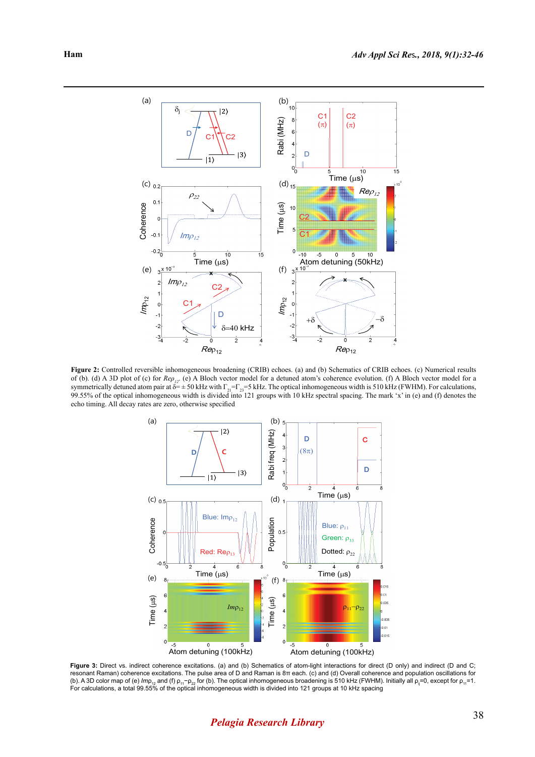

**Figure 2:** Controlled reversible inhomogeneous broadening (CRIB) echoes. (a) and (b) Schematics of CRIB echoes. (c) Numerical results of (b). (d) A 3D plot of (c) for  $\text{Re}\rho_{12}$ . (e) A Bloch vector model for a detuned atom's coherence evolution. (f) A Bloch vector model for a symmetrically detuned atom pair at  $\delta = \pm 50$  kHz with  $\Gamma_{21} = \Gamma_{23} = 5$  kHz. The optical inhomogeneous width is 510 kHz (FWHM). For calculations, 99.55% of the optical inhomogeneous width is divided into 121 groups with 10 kHz spectral spacing. The mark 'x' in (e) and (f) denotes the echo timing. All decay rates are zero, otherwise specified



Figure 3: Direct vs. indirect coherence excitations. (a) and (b) Schematics of atom-light interactions for direct (D only) and indirect (D and C; resonant Raman) coherence excitations. The pulse area of D and Raman is 8π each. (c) and (d) Overall coherence and population oscillations for (b). A 3D color map of (e) *Im*p<sub>12</sub> and (f) p<sub>11</sub>−p<sub>22</sub> for (b). The optical inhomogeneous broadening is 510 kHz (FWHM). Initially all p<sub>ij</sub>=0, except for p<sub>11</sub>=1.<br>For calculations, a total 99.55% of the optical inhomogen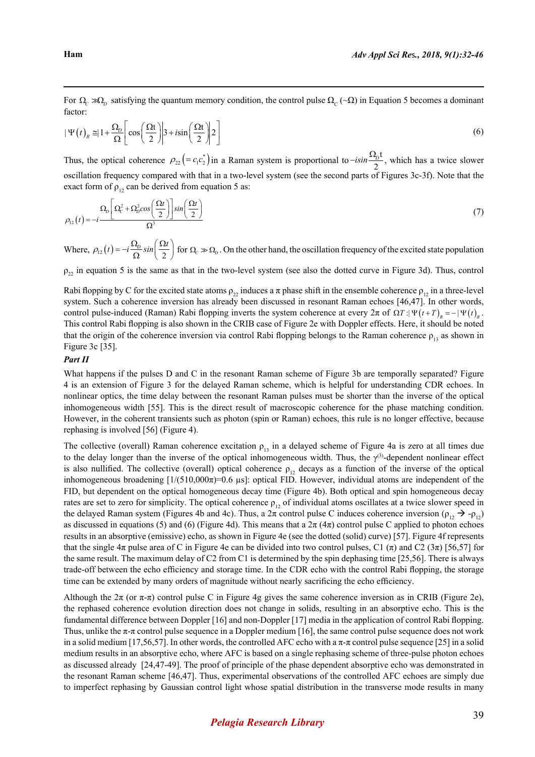For  $\Omega_c \gg \Omega_p$  satisfying the quantum memory condition, the control pulse  $\Omega_c (\sim \Omega)$  in Equation 5 becomes a dominant factor:

$$
|\Psi(t)_R \approx 1 + \frac{\Omega_D}{\Omega} \left[ \cos \left( \frac{\Omega t}{2} \right) | 3 + i \sin \left( \frac{\Omega t}{2} \right) | 2 \right]
$$
 (6)

Thus, the optical coherence  $\rho_{22} = c_1 c_2^*$  in a Raman system is proportional to  $-i\sin{\frac{\Omega_b t}{2}}$ , which has a twice slower oscillation frequency compared with that in a two-level system (see the second parts of Figures 3c-3f). Note that the exact form of  $\rho_{12}$  can be derived from equation 5 as:

$$
\rho_{12}(t) = -i \frac{\Omega_D \left[ \Omega_C^2 + \Omega_D^2 \cos\left(\frac{\Omega t}{2}\right) \right] \sin\left(\frac{\Omega t}{2}\right)}{\Omega^3} \tag{7}
$$

Where,  $\rho_{12}(t) = -i \frac{\Omega_D}{\Omega} \sin \left( \frac{\Omega t}{2} \right)$  for  $\Omega_c \gg \Omega_D$ . On the other hand, the oscillation frequency of the excited state population

 $\rho_{22}$  in equation 5 is the same as that in the two-level system (see also the dotted curve in Figure 3d). Thus, control

Rabi flopping by C for the excited state atoms  $\rho_{22}$  induces a  $\pi$  phase shift in the ensemble coherence  $\rho_{12}$  in a three-level system. Such a coherence inversion has already been discussed in resonant Raman echoes [46,47]. In other words, control pulse-induced (Raman) Rabi flopping inverts the system coherence at every  $2\pi$  of  $\Omega T$  : $|\Psi(t+T)|_p = -|\Psi(t)|_p$ . This control Rabi flopping is also shown in the CRIB case of Figure 2e with Doppler effects. Here, it should be noted that the origin of the coherence inversion via control Rabi flopping belongs to the Raman coherence  $\rho_{13}$  as shown in Figure 3c [35].

### *Part II*

What happens if the pulses D and C in the resonant Raman scheme of Figure 3b are temporally separated? Figure 4 is an extension of Figure 3 for the delayed Raman scheme, which is helpful for understanding CDR echoes. In nonlinear optics, the time delay between the resonant Raman pulses must be shorter than the inverse of the optical inhomogeneous width [55]. This is the direct result of macroscopic coherence for the phase matching condition. However, in the coherent transients such as photon (spin or Raman) echoes, this rule is no longer effective, because rephasing is involved [56] (Figure 4).

The collective (overall) Raman coherence excitation  $\rho_{13}$  in a delayed scheme of Figure 4a is zero at all times due to the delay longer than the inverse of the optical inhomogeneous width. Thus, the  $\gamma^{(3)}$ -dependent nonlinear effect is also nullified. The collective (overall) optical coherence  $\rho_{12}$  decays as a function of the inverse of the optical inhomogeneous broadening  $[1/(510,000\pi)=0.6 \text{ }\mu\text{s}]$ : optical FID. However, individual atoms are independent of the FID, but dependent on the optical homogeneous decay time (Figure 4b). Both optical and spin homogeneous decay rates are set to zero for simplicity. The optical coherence  $\rho_{12}$  of individual atoms oscillates at a twice slower speed in the delayed Raman system (Figures 4b and 4c). Thus, a 2π control pulse C induces coherence inversion ( $ρ_1, → -ρ_1,$ ) as discussed in equations (5) and (6) (Figure 4d). This means that a  $2\pi$  (4 $\pi$ ) control pulse C applied to photon echoes results in an absorptive (emissive) echo, as shown in Figure 4e (see the dotted (solid) curve) [57]. Figure 4f represents that the single  $4\pi$  pulse area of C in Figure 4e can be divided into two control pulses, C1 ( $\pi$ ) and C2 ( $3\pi$ ) [56,57] for the same result. The maximum delay of C2 from C1 is determined by the spin dephasing time [25,56]. There is always trade-off between the echo efficiency and storage time. In the CDR echo with the control Rabi flopping, the storage time can be extended by many orders of magnitude without nearly sacrificing the echo efficiency.

Although the  $2\pi$  (or  $\pi$ - $\pi$ ) control pulse C in Figure 4g gives the same coherence inversion as in CRIB (Figure 2e), the rephased coherence evolution direction does not change in solids, resulting in an absorptive echo. This is the fundamental difference between Doppler [16] and non-Doppler [17] media in the application of control Rabi flopping. Thus, unlike the  $\pi$ -π control pulse sequence in a Doppler medium [16], the same control pulse sequence does not work in a solid medium [17,56,57]. In other words, the controlled AFC echo with a  $\pi$ - $\pi$  control pulse sequence [25] in a solid medium results in an absorptive echo, where AFC is based on a single rephasing scheme of three-pulse photon echoes as discussed already [24,47-49]. The proof of principle of the phase dependent absorptive echo was demonstrated in the resonant Raman scheme [46,47]. Thus, experimental observations of the controlled AFC echoes are simply due to imperfect rephasing by Gaussian control light whose spatial distribution in the transverse mode results in many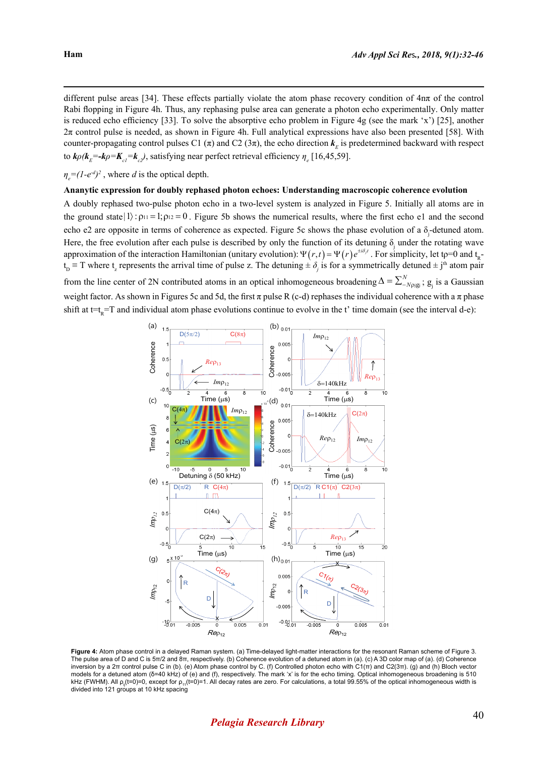different pulse areas [34]. These effects partially violate the atom phase recovery condition of 4nπ of the control Rabi flopping in Figure 4h. Thus, any rephasing pulse area can generate a photon echo experimentally. Only matter is reduced echo efficiency [33]. To solve the absorptive echo problem in Figure 4g (see the mark 'x') [25], another  $2\pi$  control pulse is needed, as shown in Figure 4h. Full analytical expressions have also been presented [58]. With counter-propagating control pulses C1  $(\pi)$  and C2  $(3\pi)$ , the echo direction  $k<sub>E</sub>$  is predetermined backward with respect to  $k\rho(k_E = k\rho = K_{c1} = k_c)$ , satisfying near perfect retrieval efficiency  $\eta_e$  [16,45,59].

 $\eta_e = (1 - e^{-d})^2$ , where *d* is the optical depth.

#### **Ananytic expression for doubly rephased photon echoes: Understanding macroscopic coherence evolution**

A doubly rephased two-pulse photon echo in a two-level system is analyzed in Figure 5. Initially all atoms are in the ground state  $|1\rangle$ :  $\rho_{11} = 1$ ;  $\rho_{12} = 0$ . Figure 5b shows the numerical results, where the first echo e1 and the second echo e2 are opposite in terms of coherence as expected. Figure 5c shows the phase evolution of a  $\delta_j$ -detuned atom. Here, the free evolution after each pulse is described by only the function of its detuning  $\delta_j$  under the rotating wave approximation of the interaction Hamiltonian (unitary evolution):  $\Psi(r,t) = \Psi(r)e^{\pm i\delta_{r}t}$ . For simplicity, let tp=0 and t<sub>p</sub> $t_{\rm p}$  = T where  $t_{\rm z}$  represents the arrival time of pulse z. The detuning  $\pm \delta_j$  is for a symmetrically detuned  $\pm j^{\rm th}$  atom pair from the line center of 2N contributed atoms in an optical inhomogeneous broadening  $\Delta = \sum_{N=1}^{N} g_j$ ;  $g_j$  is a Gaussian weight factor. As shown in Figures 5c and 5d, the first  $\pi$  pulse R (c-d) rephases the individual coherence with a  $\pi$  phase shift at t=t<sub>n</sub>=T and individual atom phase evolutions continue to evolve in the t' time domain (see the interval d-e):



**Figure 4:** Atom phase control in a delayed Raman system. (a) Time-delayed light-matter interactions for the resonant Raman scheme of Figure 3. The pulse area of D and C is 5π/2 and 8π, respectively. (b) Coherence evolution of a detuned atom in (a). (c) A 3D color map of (a). (d) Coherence inversion by a 2π control pulse C in (b). (e) Atom phase control by C. (f) Controlled photon echo with C1(π) and C2(3π). (g) and (h) Bloch vector models for a detuned atom (δ=40 kHz) of (e) and (f), respectively. The mark 'x' is for the echo timing. Optical inhomogeneous broadening is 510 kHz (FWHM). All  $\rho_{\parallel}(t=0)=0$ , except for  $\rho_{11}(t=0)=1$ . All decay rates are zero. For calculations, a total 99.55% of the optical inhomogeneous width is divided into 121 groups at 10 kHz spacing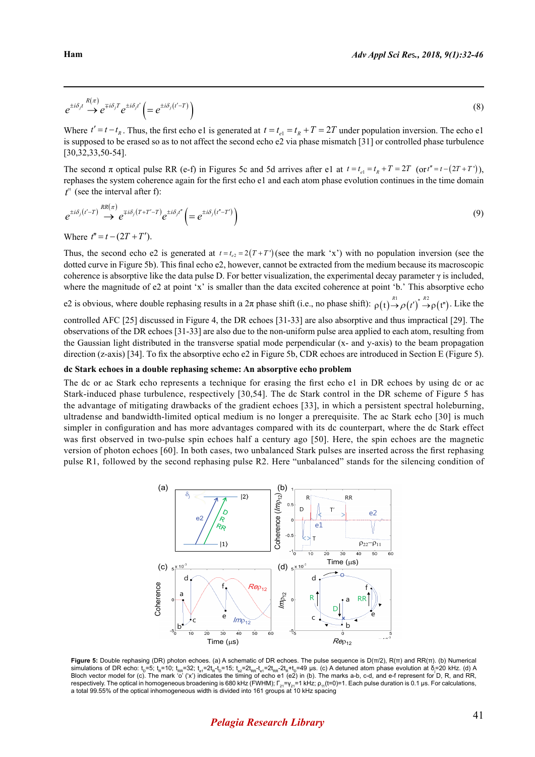$$
e^{\pm i\delta_{j}t}\stackrel{R(\pi)}{\rightarrow}e^{\mp i\delta_{j}T}e^{\pm i\delta_{j}t'}\left(=e^{\pm i\delta_{j}(t'-T)}\right)
$$
\n(8)

Where  $t' = t - t_R$ . Thus, the first echo e1 is generated at  $t = t_R = t_R + T = 2T$  under population inversion. The echo e1 is supposed to be erased so as to not affect the second echo e2 via phase mismatch [31] or controlled phase turbulence [30,32,33,50-54].

The second  $\pi$  optical pulse RR (e-f) in Figures 5c and 5d arrives after e1 at  $t = t_{e1} = t_R + T = 2T$  (or  $t'' = t - (2T + T')$ ), rephases the system coherence again for the first echo e1 and each atom phase evolution continues in the time domain *t*'' (see the interval after f):

$$
e^{\pm i\delta_j(t'-T)} \stackrel{RR(\pi)}{\rightarrow} e^{\mp i\delta_j(T+T'-T)} e^{\pm i\delta_j t''} \left(= e^{\pm i\delta_j(t''-T')} \right)
$$
\n
$$
(9)
$$

Where  $t'' = t - (2T + T')$ .

Thus, the second echo e2 is generated at  $t = t_e = 2(T + T')$  (see the mark 'x') with no population inversion (see the dotted curve in Figure 5b). This final echo e2, however, cannot be extracted from the medium because its macroscopic coherence is absorptive like the data pulse D. For better visualization, the experimental decay parameter  $\gamma$  is included, where the magnitude of e2 at point 'x' is smaller than the data excited coherence at point 'b.' This absorptive echo

e2 is obvious, where double rephasing results in a  $2\pi$  phase shift (i.e., no phase shift):  $\rho(t) \rightarrow \rho(t')^* \rightarrow \rho(t'')$ . Like the

controlled AFC [25] discussed in Figure 4, the DR echoes [31-33] are also absorptive and thus impractical [29]. The observations of the DR echoes [31-33] are also due to the non-uniform pulse area applied to each atom, resulting from the Gaussian light distributed in the transverse spatial mode perpendicular (x- and y-axis) to the beam propagation direction (z-axis) [34]. To fix the absorptive echo e2 in Figure 5b, CDR echoes are introduced in Section E (Figure 5).

### **dc Stark echoes in a double rephasing scheme: An absorptive echo problem**

The dc or ac Stark echo represents a technique for erasing the first echo e1 in DR echoes by using dc or ac Stark-induced phase turbulence, respectively [30,54]. The dc Stark control in the DR scheme of Figure 5 has the advantage of mitigating drawbacks of the gradient echoes [33], in which a persistent spectral holeburning, ultradense and bandwidth-limited optical medium is no longer a prerequisite. The ac Stark echo [30] is much simpler in configuration and has more advantages compared with its dc counterpart, where the dc Stark effect was first observed in two-pulse spin echoes half a century ago [50]. Here, the spin echoes are the magnetic version of photon echoes [60]. In both cases, two unbalanced Stark pulses are inserted across the first rephasing pulse R1, followed by the second rephasing pulse R2. Here "unbalanced" stands for the silencing condition of



**Figure 5:** Double rephasing (DR) photon echoes. (a) A schematic of DR echoes. The pulse sequence is D(π/2), R(π) and RR(π). (b) Numerical simulations of DR echo: t<sub>p</sub>=5; t<sub>R</sub>=10; t<sub>RR</sub>=32; t<sub>e1</sub>=2t<sub>R</sub>+t<sub>p</sub>=15; t<sub>e2</sub>=2t<sub>RR</sub>-t<sub>e1</sub>=2t<sub>R</sub>+t<sub>p</sub>=49 μs. (c) A detuned atom phase evolution at δ<sub>j</sub>=20 kHz. (d) A Bloch vector model for (c). The mark 'o' (x) indicates the timing of echo e1 (e2) in (b). The marks a-b, c-d, and e-f represent for D, R, and RR, respectively. The optical in homogeneous broadening is 680 kHz (FWHM);  $\Gamma_{21} = \gamma_{21} = 1$  kHz;  $\rho_{11}$ (t=0)=1. Each pulse duration is 0.1 µs. For calculations, a total 99.55% of the optical inhomogeneous width is divided into 161 groups at 10 kHz spacing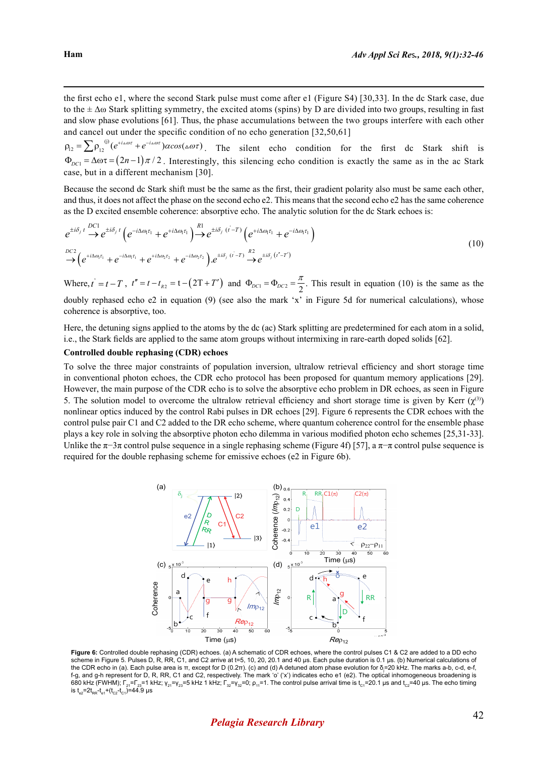the first echo e1, where the second Stark pulse must come after e1 (Figure S4) [30,33]. In the dc Stark case, due to the  $\pm \Delta \omega$  Stark splitting symmetry, the excited atoms (spins) by D are divided into two groups, resulting in fast and slow phase evolutions [61]. Thus, the phase accumulations between the two groups interfere with each other and cancel out under the specific condition of no echo generation [32,50,61]

 $\rho_{12} = \sum \rho_{12}^{(j)} (e^{+i\omega\omega\tau} + e^{-i\omega\omega\tau}) \alpha cos(\omega\omega\tau)$ . The silent echo condition for the first dc Stark shift is  $\Phi_{DC1} = \Delta \omega \tau = (2n-1)\pi/2$ . Interestingly, this silencing echo condition is exactly the same as in the ac Stark case, but in a different mechanism [30].

Because the second dc Stark shift must be the same as the first, their gradient polarity also must be same each other, and thus, it does not affect the phase on the second echo e2. This means that the second echo e2 has the same coherence as the D excited ensemble coherence: absorptive echo. The analytic solution for the dc Stark echoes is:

$$
e^{\pm i\delta_j t} \stackrel{DC1}{\rightarrow} e^{\pm i\delta_j t} \left( e^{-i\Delta\omega_l \tau_1} + e^{+i\Delta\omega_l \tau_1} \right) \stackrel{R1}{\rightarrow} e^{\pm i\delta_j (t-T)} \left( e^{+i\Delta\omega_l \tau_1} + e^{-i\Delta\omega_l \tau_1} \right)
$$
  

$$
\stackrel{DC2}{\rightarrow} \left( e^{+i\Delta\omega_l \tau_1} + e^{-i\Delta\omega_l \tau_1} + e^{+i\Delta\omega_2 \tau_2} + e^{-i\Delta\omega_2 \tau_2} \right) \stackrel{def}{=} e^{+i\delta_j (t-T)} \stackrel{R2}{\rightarrow} e^{\pm i\delta_j (t-T)} \tag{10}
$$

Where,  $t' = t - T$ ,  $t'' = t - t_{R2} = t - (2T + T')$  and  $\Phi_{DC1} = \Phi_{DC2} = \frac{\pi}{2}$ . This result in equation (10) is the same as the doubly rephased echo e2 in equation (9) (see also the mark 'x' in Figure 5d for numerical calculations), whose coherence is absorptive, too.

Here, the detuning signs applied to the atoms by the dc (ac) Stark splitting are predetermined for each atom in a solid, i.e., the Stark fields are applied to the same atom groups without intermixing in rare-earth doped solids [62].

#### **Controlled double rephasing (CDR) echoes**

To solve the three major constraints of population inversion, ultralow retrieval efficiency and short storage time in conventional photon echoes, the CDR echo protocol has been proposed for quantum memory applications [29]. However, the main purpose of the CDR echo is to solve the absorptive echo problem in DR echoes, as seen in Figure 5. The solution model to overcome the ultralow retrieval efficiency and short storage time is given by Kerr  $(\gamma^{(3)})$ nonlinear optics induced by the control Rabi pulses in DR echoes [29]. Figure 6 represents the CDR echoes with the control pulse pair C1 and C2 added to the DR echo scheme, where quantum coherence control for the ensemble phase plays a key role in solving the absorptive photon echo dilemma in various modified photon echo schemes [25,31-33]. Unlike the  $\pi$ −3π control pulse sequence in a single rephasing scheme (Figure 4f) [57], a  $\pi$ -π control pulse sequence is required for the double rephasing scheme for emissive echoes (e2 in Figure 6b).



**Figure 6:** Controlled double rephasing (CDR) echoes. (a) A schematic of CDR echoes, where the control pulses C1 & C2 are added to a DD echo scheme in Figure 5. Pulses D, R, RR, C1, and C2 arrive at t=5, 10, 20, 20.1 and 40 µs. Each pulse duration is 0.1 µs. (b) Numerical calculations of the CDR echo in (a). Each pulse area is π, except for D (0.2π). (c) and (d) A detuned atom phase evolution for δ<sub>j</sub>=20 kHz. The marks a-b, c-d, e-f, f-g, and g-h represent for D, R, RR, C1 and C2, respectively. The mark 'o' ('x') indicates echo e1 (e2). The optical inhomogeneous broadening is 680 kHz (FWHM); Γ<sub>21</sub>=Γ<sub>23</sub>=1 kHz; γ<sub>21</sub>=γ<sub>23</sub>=5 kHz 1 kHz; Γ<sub>32</sub>=γ<sub>32</sub>=0; ρ<sub>11</sub>=1. The control pulse arrival time is t<sub>c1</sub>=20.1 µs and t<sub>c2</sub>=40 µs. The echo timing is t<sub>e2</sub>=2t<sub>RR</sub>-t<sub>e1</sub>+(t<sub>C2</sub>-t<sub>C1</sub>)=44.9 µs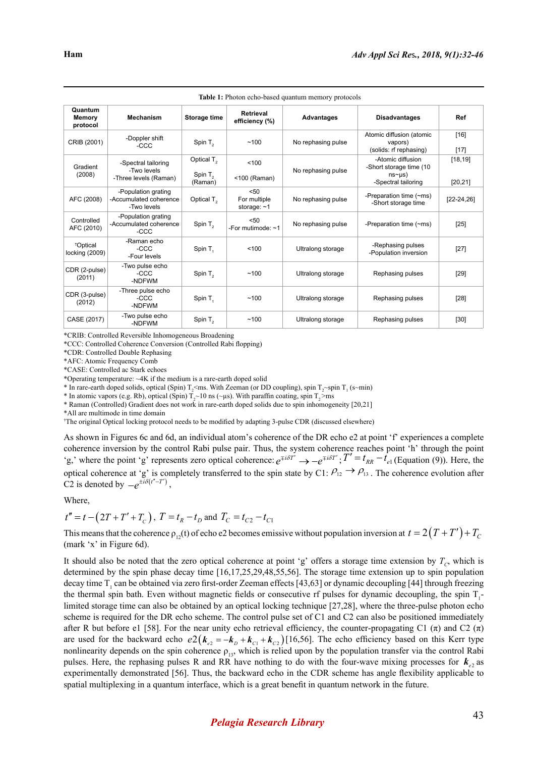| <b>Table 1:</b> Photon echo-based quantum memory protocols |                                                              |                                                |                                     |                    |                                                                                          |                      |
|------------------------------------------------------------|--------------------------------------------------------------|------------------------------------------------|-------------------------------------|--------------------|------------------------------------------------------------------------------------------|----------------------|
| Quantum<br>Memory<br>protocol                              | <b>Mechanism</b>                                             | Storage time                                   | <b>Retrieval</b><br>efficiency (%)  | <b>Advantages</b>  | <b>Disadvantages</b>                                                                     | Ref                  |
| CRIB (2001)                                                | -Doppler shift<br>$-CCC$                                     | Spin T <sub>2</sub>                            | ~100                                | No rephasing pulse | Atomic diffusion (atomic<br>vapors)<br>(solids: rf rephasing)                            | $[16]$<br>$[17]$     |
| Gradient<br>(2008)                                         | -Spectral tailoring<br>-Two levels<br>-Three levels (Raman)  | Optical $T2$<br>Spin T <sub>2</sub><br>(Raman) | < 100<br>$<$ 100 (Raman)            | No rephasing pulse | -Atomic diffusion<br>-Short storage time (10<br>ns <sub>µ</sub> s<br>-Spectral tailoring | [18, 19]<br>[20, 21] |
| AFC (2008)                                                 | -Population grating<br>-Accumulated coherence<br>-Two levels | Optical T <sub>2</sub>                         | 50<br>For multiple<br>storage: $~1$ | No rephasing pulse | -Preparation time $(\sim ms)$<br>-Short storage time                                     | $[22-24, 26]$        |
| Controlled<br>AFC (2010)                                   | -Population grating<br>-Accumulated coherence<br>$-CCC$      | Spin $T2$                                      | 50<br>-For mutimode: $~1$           | No rephasing pulse | -Preparation time (~ms)                                                                  | $[25]$               |
| <sup>†</sup> Optical<br>locking (2009)                     | -Raman echo<br>$-CCC$<br>-Four levels                        | Spin T <sub>1</sub>                            | < 100                               | Ultralong storage  | -Rephasing pulses<br>-Population inversion                                               | $[27]$               |
| CDR (2-pulse)<br>(2011)                                    | -Two pulse echo<br>$-CCC$<br>-NDFWM                          | Spin T <sub>2</sub>                            | ~100                                | Ultralong storage  | Rephasing pulses                                                                         | $[29]$               |
| CDR (3-pulse)<br>(2012)                                    | -Three pulse echo<br>$-CCC$<br>-NDFWM                        | Spin T <sub>1</sub>                            | ~100                                | Ultralong storage  | Rephasing pulses                                                                         | $[28]$               |
| CASE (2017)                                                | -Two pulse echo<br>-NDFWM                                    | Spin T <sub>2</sub>                            | ~100                                | Ultralong storage  | Rephasing pulses                                                                         | $[30]$               |

\*CRIB: Controlled Reversible Inhomogeneous Broadening

\*CCC: Controlled Coherence Conversion (Controlled Rabi flopping)

\*CDR: Controlled Double Rephasing

\*AFC: Atomic Frequency Comb

\*CASE: Controlled ac Stark echoes

\*Operating temperature: ~4K if the medium is a rare-earth doped solid

\* In rare-earth doped solids, optical (Spin)  $T_2$  <ms. With Zeeman (or DD coupling), spin  $T_2$  -spin  $T_1$  (s~min)

\* In atomic vapors (e.g. Rb), optical (Spin)  $T_2$  10 ns ( $\sim$ µs). With paraffin coating, spin  $T_2$  >ms

\* Raman (Controlled) Gradient does not work in rare-earth doped solids due to spin inhomogeneity [20,21]

\*All are multimode in time domain

† The original Optical locking protocol needs to be modified by adapting 3-pulse CDR (discussed elsewhere)

As shown in Figures 6c and 6d, an individual atom's coherence of the DR echo e2 at point 'f' experiences a complete coherence inversion by the control Rabi pulse pair. Thus, the system coherence reaches point 'h' through the point<br>'g,' where the point 'g' represents zero optical coherence:  $e^{\pm i\delta T'} \rightarrow -e^{\pm i\delta T'}$ ;  $T' = t_{RR} - t_{el}$  (Equat optical coherence at 'g' is completely transferred to the spin state by C1:  $\rho_{12} \rightarrow \rho_{13}$ . The coherence evolution after C2 is denoted by  $-e^{\pm i\delta(t''-T')}$ ,

Where,

 $t'' = t - (2T + T' + T_c)$ ,  $T = t_R - t_D$  and  $T_C = t_{C2} - t_{C1}$ 

This means that the coherence  $\rho_{12}(t)$  of echo e2 becomes emissive without population inversion at  $t = 2(T + T') + T_c$ (mark 'x' in Figure 6d).

It should also be noted that the zero optical coherence at point 'g' offers a storage time extension by  $T_c$ , which is determined by the spin phase decay time [16,17,25,29,48,55,56]. The storage time extension up to spin population decay time  $T_1$  can be obtained via zero first-order Zeeman effects [43,63] or dynamic decoupling [44] through freezing the thermal spin bath. Even without magnetic fields or consecutive rf pulses for dynamic decoupling, the spin  $T_1$ limited storage time can also be obtained by an optical locking technique [27,28], where the three-pulse photon echo scheme is required for the DR echo scheme. The control pulse set of C1 and C2 can also be positioned immediately after R but before e1 [58]. For the near unity echo retrieval efficiency, the counter-propagating C1  $(\pi)$  and C2  $(\pi)$ are used for the backward echo  $e^2 ( k_{e2} = -k_D + k_{c1} + k_{c2})$  [16,56]. The echo efficiency based on this Kerr type nonlinearity depends on the spin coherence  $\rho_{13}$ , which is relied upon by the population transfer via the control Rabi pulses. Here, the rephasing pulses R and RR have nothing to do with the four-wave mixing processes for  $k_{\gamma}$  as experimentally demonstrated [56]. Thus, the backward echo in the CDR scheme has angle flexibility applicable to spatial multiplexing in a quantum interface, which is a great benefit in quantum network in the future.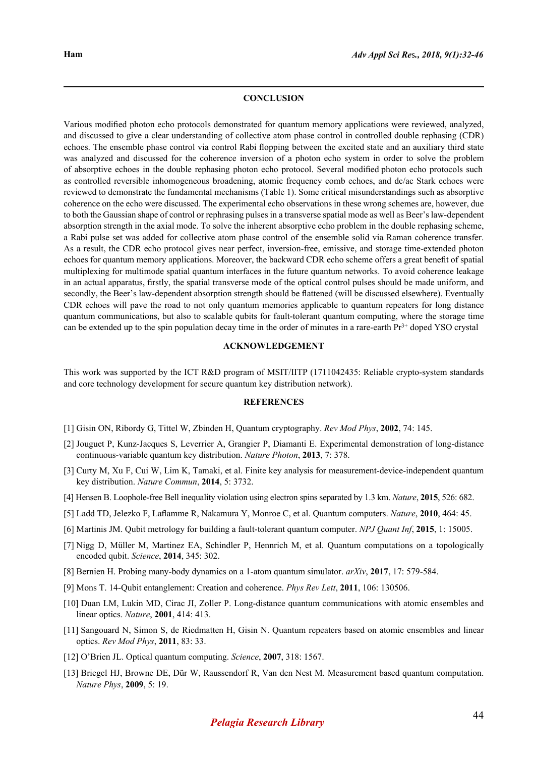#### **CONCLUSION**

Various modified photon echo protocols demonstrated for quantum memory applications were reviewed, analyzed, and discussed to give a clear understanding of collective atom phase control in controlled double rephasing (CDR) echoes. The ensemble phase control via control Rabi flopping between the excited state and an auxiliary third state was analyzed and discussed for the coherence inversion of a photon echo system in order to solve the problem of absorptive echoes in the double rephasing photon echo protocol. Several modified photon echo protocols such as controlled reversible inhomogeneous broadening, atomic frequency comb echoes, and dc/ac Stark echoes were reviewed to demonstrate the fundamental mechanisms (Table 1). Some critical misunderstandings such as absorptive coherence on the echo were discussed. The experimental echo observations in these wrong schemes are, however, due to both the Gaussian shape of control or rephrasing pulses in a transverse spatial mode as well as Beer's law-dependent absorption strength in the axial mode. To solve the inherent absorptive echo problem in the double rephasing scheme, a Rabi pulse set was added for collective atom phase control of the ensemble solid via Raman coherence transfer. As a result, the CDR echo protocol gives near perfect, inversion-free, emissive, and storage time-extended photon echoes for quantum memory applications. Moreover, the backward CDR echo scheme offers a great benefit of spatial multiplexing for multimode spatial quantum interfaces in the future quantum networks. To avoid coherence leakage in an actual apparatus, firstly, the spatial transverse mode of the optical control pulses should be made uniform, and secondly, the Beer's law-dependent absorption strength should be flattened (will be discussed elsewhere). Eventually CDR echoes will pave the road to not only quantum memories applicable to quantum repeaters for long distance quantum communications, but also to scalable qubits for fault-tolerant quantum computing, where the storage time can be extended up to the spin population decay time in the order of minutes in a rare-earth  $Pr<sup>3+</sup>$  doped YSO crystal

#### **ACKNOWLEDGEMENT**

This work was supported by the ICT R&D program of MSIT/IITP (1711042435: Reliable crypto-system standards and core technology development for secure quantum key distribution network).

### **REFERENCES**

- [1] Gisin ON, Ribordy G, Tittel W, Zbinden H, Quantum cryptography. *Rev Mod Phys*, **2002**, 74: 145.
- [2] Jouguet P, Kunz-Jacques S, Leverrier A, Grangier P, Diamanti E. Experimental demonstration of long-distance continuous-variable quantum key distribution. *Nature Photon*, **2013**, 7: 378.
- [3] Curty M, Xu F, Cui W, Lim K, Tamaki, et al. Finite key analysis for measurement-device-independent quantum key distribution. *Nature Commun*, **2014**, 5: 3732.
- [4] Hensen B. Loophole-free Bell inequality violation using electron spins separated by 1.3 km. *Nature*, **2015**, 526: 682.
- [5] Ladd TD, Jelezko F, Laflamme R, Nakamura Y, Monroe C, et al. Quantum computers. *Nature*, **2010**, 464: 45.
- [6] Martinis JM. Qubit metrology for building a fault-tolerant quantum computer. *NPJ Quant Inf*, **2015**, 1: 15005.
- [7] Nigg D, Müller M, Martinez EA, Schindler P, Hennrich M, et al. Quantum computations on a topologically encoded qubit. *Science*, **2014**, 345: 302.
- [8] Bernien H. Probing many-body dynamics on a 1-atom quantum simulator. *arXiv*, **2017**, 17: 579-584.
- [9] Mons T. 14-Qubit entanglement: Creation and coherence. *Phys Rev Lett*, **2011**, 106: 130506.
- [10] Duan LM, Lukin MD, Cirac JI, Zoller P. Long-distance quantum communications with atomic ensembles and linear optics. *Nature*, **2001**, 414: 413.
- [11] Sangouard N, Simon S, de Riedmatten H, Gisin N. Quantum repeaters based on atomic ensembles and linear optics. *Rev Mod Phys*, **2011**, 83: 33.
- [12] O'Brien JL. Optical quantum computing. *Science*, **2007**, 318: 1567.
- [13] Briegel HJ, Browne DE, Dür W, Raussendorf R, Van den Nest M. Measurement based quantum computation. *Nature Phys*, **2009**, 5: 19.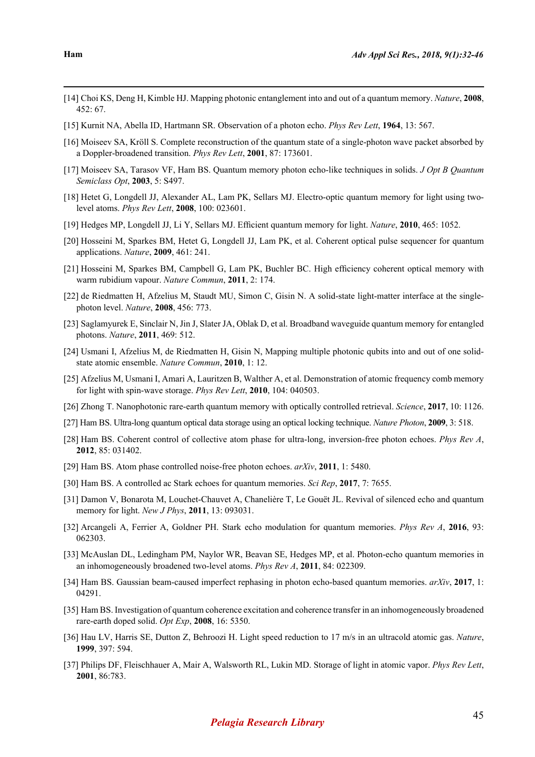- [14] Choi KS, Deng H, Kimble HJ. Mapping photonic entanglement into and out of a quantum memory. *Nature*, **2008**, 452: 67.
- [15] Kurnit NA, Abella ID, Hartmann SR. Observation of a photon echo. *Phys Rev Lett*, **1964**, 13: 567.
- [16] Moiseev SA, Kröll S. Complete reconstruction of the quantum state of a single-photon wave packet absorbed by a Doppler-broadened transition. *Phys Rev Lett*, **2001**, 87: 173601.
- [17] Moiseev SA, Tarasov VF, Ham BS. Quantum memory photon echo-like techniques in solids. *J Opt B Quantum Semiclass Opt*, **2003**, 5: S497.
- [18] Hetet G, Longdell JJ, Alexander AL, Lam PK, Sellars MJ. Electro-optic quantum memory for light using twolevel atoms. *Phys Rev Lett*, **2008**, 100: 023601.
- [19] Hedges MP, Longdell JJ, Li Y, Sellars MJ. Efficient quantum memory for light. *Nature*, **2010**, 465: 1052.
- [20] Hosseini M, Sparkes BM, Hetet G, Longdell JJ, Lam PK, et al. Coherent optical pulse sequencer for quantum applications. *Nature*, **2009**, 461: 241.
- [21] Hosseini M, Sparkes BM, Campbell G, Lam PK, Buchler BC. High efficiency coherent optical memory with warm rubidium vapour. *Nature Commun*, **2011**, 2: 174.
- [22] de Riedmatten H, Afzelius M, Staudt MU, Simon C, Gisin N. A solid-state light-matter interface at the singlephoton level. *Nature*, **2008**, 456: 773.
- [23] Saglamyurek E, Sinclair N, Jin J, Slater JA, Oblak D, et al. Broadband waveguide quantum memory for entangled photons. *Nature*, **2011**, 469: 512.
- [24] Usmani I, Afzelius M, de Riedmatten H, Gisin N, Mapping multiple photonic qubits into and out of one solidstate atomic ensemble. *Nature Commun*, **2010**, 1: 12.
- [25] Afzelius M, Usmani I, Amari A, Lauritzen B, Walther A, et al. Demonstration of atomic frequency comb memory for light with spin-wave storage. *Phys Rev Lett*, **2010**, 104: 040503.
- [26] Zhong T. Nanophotonic rare-earth quantum memory with optically controlled retrieval. *Science*, **2017**, 10: 1126.
- [27] Ham BS. Ultra-long quantum optical data storage using an optical locking technique. *Nature Photon*, **2009**, 3: 518.
- [28] Ham BS. Coherent control of collective atom phase for ultra-long, inversion-free photon echoes. *Phys Rev A*, **2012**, 85: 031402.
- [29] Ham BS. Atom phase controlled noise-free photon echoes. *arXiv*, **2011**, 1: 5480.
- [30] Ham BS. A controlled ac Stark echoes for quantum memories. *Sci Rep*, **2017**, 7: 7655.
- [31] Damon V, Bonarota M, Louchet-Chauvet A, Chanelière T, Le Gouët JL. Revival of silenced echo and quantum memory for light. *New J Phys*, **2011**, 13: 093031.
- [32] Arcangeli A, Ferrier A, Goldner PH. Stark echo modulation for quantum memories. *Phys Rev A*, **2016**, 93: 062303.
- [33] McAuslan DL, Ledingham PM, Naylor WR, Beavan SE, Hedges MP, et al. Photon-echo quantum memories in an inhomogeneously broadened two-level atoms. *Phys Rev A*, **2011**, 84: 022309.
- [34] Ham BS. Gaussian beam-caused imperfect rephasing in photon echo-based quantum memories. *arXiv*, **2017**, 1: 04291.
- [35] Ham BS. Investigation of quantum coherence excitation and coherence transfer in an inhomogeneously broadened rare-earth doped solid. *Opt Exp*, **2008**, 16: 5350.
- [36] Hau LV, Harris SE, Dutton Z, Behroozi H. Light speed reduction to 17 m/s in an ultracold atomic gas. *Nature*, **1999**, 397: 594.
- [37] Philips DF, Fleischhauer A, Mair A, Walsworth RL, Lukin MD. Storage of light in atomic vapor. *Phys Rev Lett*, **2001**, 86:783.